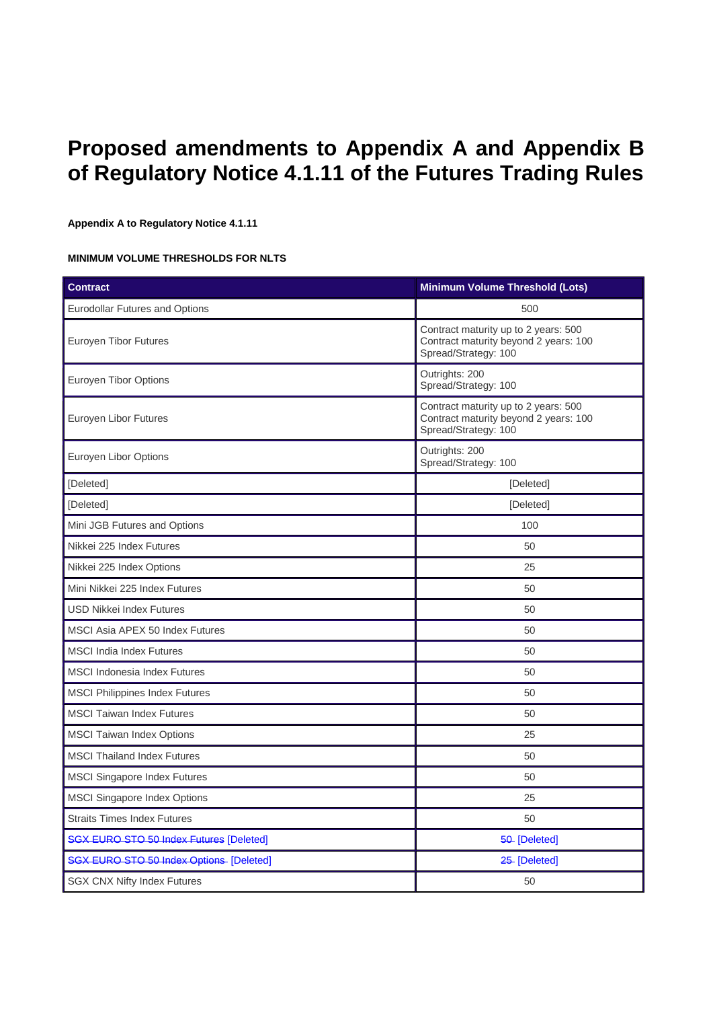# **Proposed amendments to Appendix A and Appendix B of Regulatory Notice 4.1.11 of the Futures Trading Rules**

#### **Appendix A to Regulatory Notice 4.1.11**

#### **MINIMUM VOLUME THRESHOLDS FOR NLTS**

| <b>Contract</b>                                 | Minimum Volume Threshold (Lots)                                                                       |  |
|-------------------------------------------------|-------------------------------------------------------------------------------------------------------|--|
| <b>Eurodollar Futures and Options</b>           | 500                                                                                                   |  |
| <b>Euroyen Tibor Futures</b>                    | Contract maturity up to 2 years: 500<br>Contract maturity beyond 2 years: 100<br>Spread/Strategy: 100 |  |
| <b>Euroyen Tibor Options</b>                    | Outrights: 200<br>Spread/Strategy: 100                                                                |  |
| Euroyen Libor Futures                           | Contract maturity up to 2 years: 500<br>Contract maturity beyond 2 years: 100<br>Spread/Strategy: 100 |  |
| Euroyen Libor Options                           | Outrights: 200<br>Spread/Strategy: 100                                                                |  |
| [Deleted]                                       | [Deleted]                                                                                             |  |
| [Deleted]                                       | [Deleted]                                                                                             |  |
| Mini JGB Futures and Options                    | 100                                                                                                   |  |
| Nikkei 225 Index Futures                        | 50                                                                                                    |  |
| Nikkei 225 Index Options                        | 25                                                                                                    |  |
| Mini Nikkei 225 Index Futures                   | 50                                                                                                    |  |
| <b>USD Nikkei Index Futures</b>                 | 50                                                                                                    |  |
| MSCI Asia APEX 50 Index Futures                 | 50                                                                                                    |  |
| <b>MSCI</b> India Index Futures                 | 50                                                                                                    |  |
| <b>MSCI Indonesia Index Futures</b>             | 50                                                                                                    |  |
| <b>MSCI Philippines Index Futures</b>           | 50                                                                                                    |  |
| <b>MSCI Taiwan Index Futures</b>                | 50                                                                                                    |  |
| <b>MSCI Taiwan Index Options</b>                | 25                                                                                                    |  |
| <b>MSCI Thailand Index Futures</b>              | 50                                                                                                    |  |
| <b>MSCI Singapore Index Futures</b>             | 50                                                                                                    |  |
| <b>MSCI Singapore Index Options</b>             | 25                                                                                                    |  |
| <b>Straits Times Index Futures</b>              | 50                                                                                                    |  |
| <b>SGX EURO STO 50 Index Futures [Deleted]</b>  | 50-[Deleted]                                                                                          |  |
| <b>SGX EURO STO 50 Index Options- [Deleted]</b> | 25-[Deleted]                                                                                          |  |
| <b>SGX CNX Nifty Index Futures</b>              | 50                                                                                                    |  |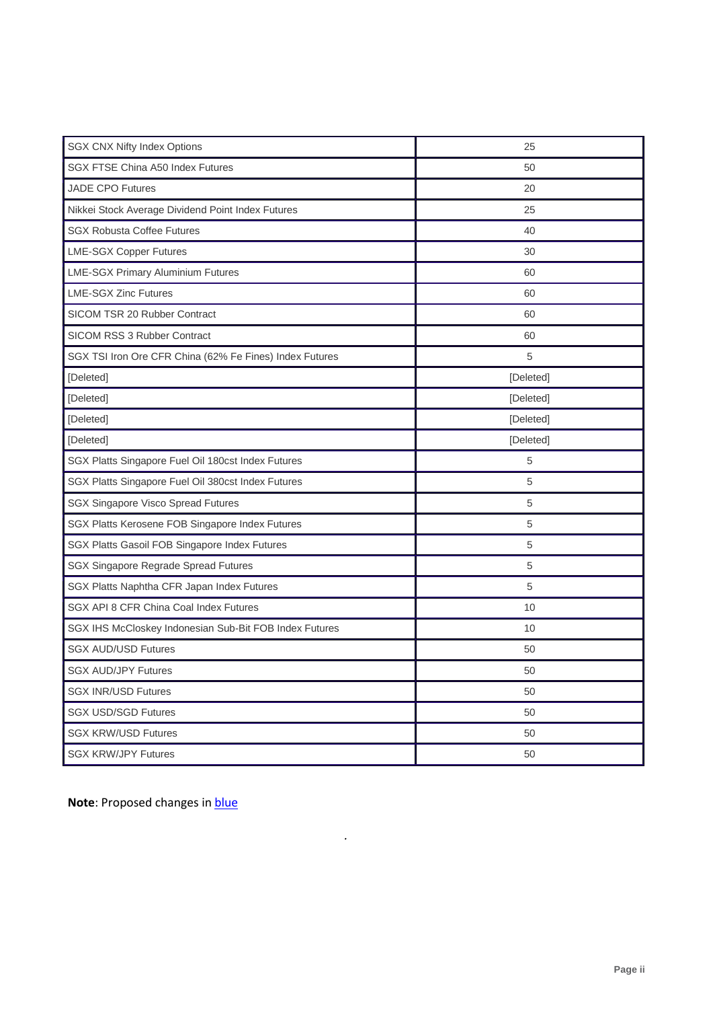| <b>SGX CNX Nifty Index Options</b>                      | 25        |
|---------------------------------------------------------|-----------|
| <b>SGX FTSE China A50 Index Futures</b>                 | 50        |
| <b>JADE CPO Futures</b>                                 | 20        |
| Nikkei Stock Average Dividend Point Index Futures       | 25        |
| <b>SGX Robusta Coffee Futures</b>                       | 40        |
| <b>LME-SGX Copper Futures</b>                           | 30        |
| <b>LME-SGX Primary Aluminium Futures</b>                | 60        |
| <b>LME-SGX Zinc Futures</b>                             | 60        |
| SICOM TSR 20 Rubber Contract                            | 60        |
| SICOM RSS 3 Rubber Contract                             | 60        |
| SGX TSI Iron Ore CFR China (62% Fe Fines) Index Futures | 5         |
| [Deleted]                                               | [Deleted] |
| [Deleted]                                               | [Deleted] |
| [Deleted]                                               | [Deleted] |
| [Deleted]                                               | [Deleted] |
|                                                         |           |
| SGX Platts Singapore Fuel Oil 180cst Index Futures      | 5         |
| SGX Platts Singapore Fuel Oil 380cst Index Futures      | 5         |
| <b>SGX Singapore Visco Spread Futures</b>               | 5         |
| SGX Platts Kerosene FOB Singapore Index Futures         | 5         |
| SGX Platts Gasoil FOB Singapore Index Futures           | 5         |
| SGX Singapore Regrade Spread Futures                    | 5         |
| SGX Platts Naphtha CFR Japan Index Futures              | 5         |
| SGX API 8 CFR China Coal Index Futures                  | 10        |
| SGX IHS McCloskey Indonesian Sub-Bit FOB Index Futures  | 10        |
| <b>SGX AUD/USD Futures</b>                              | 50        |
| <b>SGX AUD/JPY Futures</b>                              | 50        |
| <b>SGX INR/USD Futures</b>                              | 50        |
| <b>SGX USD/SGD Futures</b>                              | 50        |
| <b>SGX KRW/USD Futures</b>                              | 50        |

*.*

**Note: Proposed changes in blue**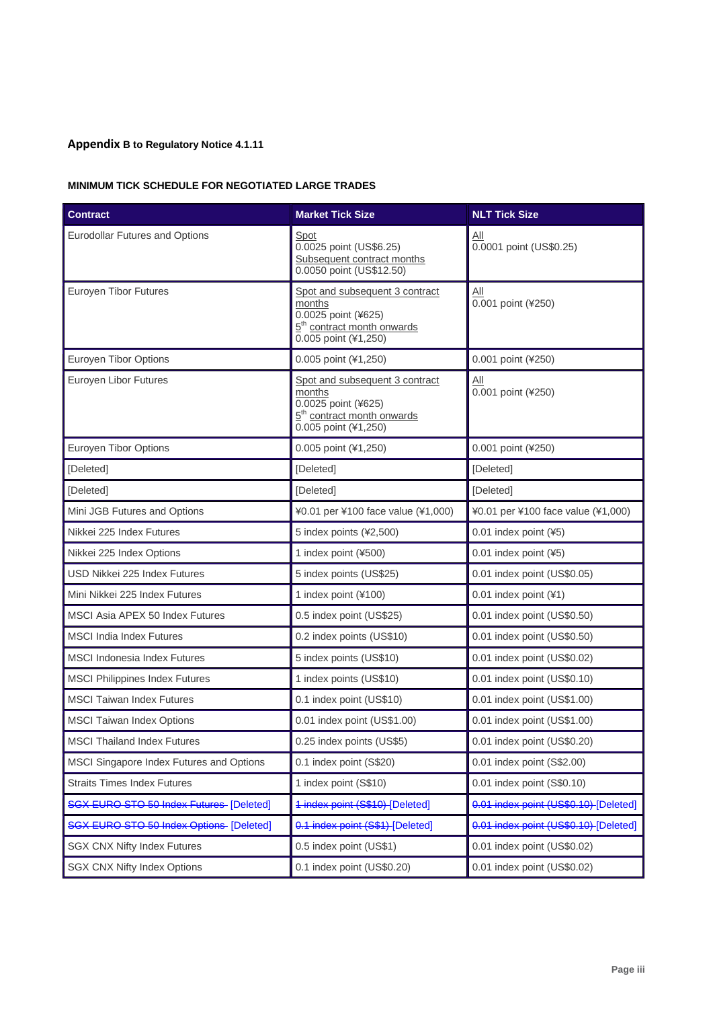## **Appendix B to Regulatory Notice 4.1.11**

### **MINIMUM TICK SCHEDULE FOR NEGOTIATED LARGE TRADES**

| <b>Contract</b>                                | <b>Market Tick Size</b>                                                                                                           | <b>NLT Tick Size</b>                  |
|------------------------------------------------|-----------------------------------------------------------------------------------------------------------------------------------|---------------------------------------|
| Eurodollar Futures and Options                 | Spot<br>0.0025 point (US\$6.25)<br>Subsequent contract months<br>0.0050 point (US\$12.50)                                         | All<br>0.0001 point (US\$0.25)        |
| Euroyen Tibor Futures                          | Spot and subsequent 3 contract<br>months<br>0.0025 point (¥625)<br>5 <sup>th</sup> contract month onwards<br>0.005 point (¥1,250) | <u>All</u><br>0.001 point (¥250)      |
| <b>Euroyen Tibor Options</b>                   | 0.005 point (¥1,250)                                                                                                              | 0.001 point (¥250)                    |
| Euroyen Libor Futures                          | Spot and subsequent 3 contract<br>months<br>0.0025 point (¥625)<br>5 <sup>th</sup> contract month onwards<br>0.005 point (¥1,250) | All<br>0.001 point (¥250)             |
| Euroyen Tibor Options                          | 0.005 point (¥1,250)                                                                                                              | 0.001 point (¥250)                    |
| [Deleted]                                      | [Deleted]                                                                                                                         | [Deleted]                             |
| [Deleted]                                      | [Deleted]                                                                                                                         | [Deleted]                             |
| Mini JGB Futures and Options                   | ¥0.01 per ¥100 face value (¥1,000)                                                                                                | ¥0.01 per ¥100 face value (¥1,000)    |
| Nikkei 225 Index Futures                       | 5 index points (¥2,500)                                                                                                           | 0.01 index point (¥5)                 |
| Nikkei 225 Index Options                       | 1 index point (¥500)                                                                                                              | 0.01 index point (¥5)                 |
| USD Nikkei 225 Index Futures                   | 5 index points (US\$25)                                                                                                           | 0.01 index point (US\$0.05)           |
| Mini Nikkei 225 Index Futures                  | 1 index point (¥100)                                                                                                              | 0.01 index point (¥1)                 |
| MSCI Asia APEX 50 Index Futures                | 0.5 index point (US\$25)                                                                                                          | 0.01 index point (US\$0.50)           |
| <b>MSCI</b> India Index Futures                | 0.2 index points (US\$10)                                                                                                         | 0.01 index point (US\$0.50)           |
| <b>MSCI</b> Indonesia Index Futures            | 5 index points (US\$10)                                                                                                           | 0.01 index point (US\$0.02)           |
| <b>MSCI Philippines Index Futures</b>          | 1 index points (US\$10)                                                                                                           | 0.01 index point (US\$0.10)           |
| <b>MSCI Taiwan Index Futures</b>               | 0.1 index point (US\$10)                                                                                                          | 0.01 index point (US\$1.00)           |
| <b>MSCI Taiwan Index Options</b>               | 0.01 index point (US\$1.00)                                                                                                       | 0.01 index point (US\$1.00)           |
| <b>MSCI Thailand Index Futures</b>             | 0.25 index points (US\$5)                                                                                                         | 0.01 index point (US\$0.20)           |
| MSCI Singapore Index Futures and Options       | 0.1 index point (S\$20)                                                                                                           | 0.01 index point (S\$2.00)            |
| <b>Straits Times Index Futures</b>             | 1 index point (S\$10)                                                                                                             | 0.01 index point (S\$0.10)            |
| SGX EURO STO 50 Index Futures [Deleted]        | 1-index-point (S\$10)-[Deleted]                                                                                                   | 0.01 index point (US\$0.10) [Deleted] |
| <b>SGX EURO STO 50 Index Options [Deleted]</b> | 0.1 index point (S\$1) [Deleted]                                                                                                  | 0.01 index point (US\$0.10) [Deleted] |
| <b>SGX CNX Nifty Index Futures</b>             | 0.5 index point (US\$1)                                                                                                           | 0.01 index point (US\$0.02)           |
| <b>SGX CNX Nifty Index Options</b>             | 0.1 index point (US\$0.20)                                                                                                        | 0.01 index point (US\$0.02)           |